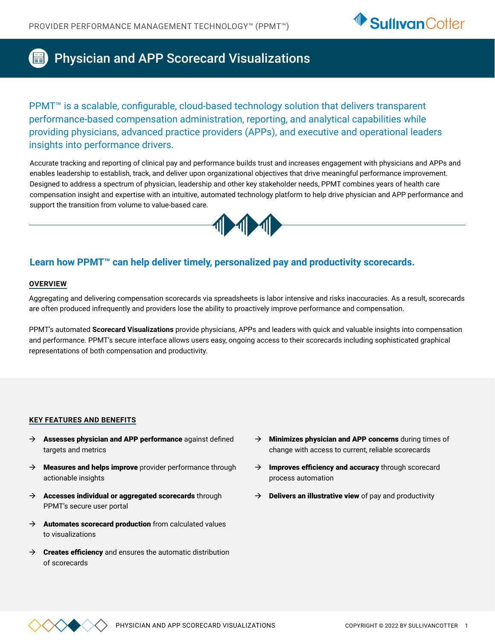

# Physician and APP Scorecard Visualizations

PPMT<sup>™</sup> is a scalable, configurable, cloud-based technology solution that delivers transparent performance-based compensation administration, reporting, and analytical capabilities while providing physicians, advanced practice providers (APPs), and executive and operational leaders insights into performance drivers.

Accurate tracking and reporting of clinical pay and performance builds trust and increases engagement with physicians and APPs and enables leadership to establish, track, and deliver upon organizational objectives that drive meaningful performance improvement. Designed to address a spectrum of physician, leadership and other key stakeholder needs, PPMT combines years of health care compensation insight and expertise with an intuitive, automated technology platform to help drive physician and APP performance and support the transition from volume to value-based care.



## **Learn how PPMT™ can help deliver timely, personalized pay and productivity scorecards.**

#### **OVERVIEW**

Aggregating and delivering compensation scorecards via spreadsheets is labor intensive and risks inaccuracies. As a result, scorecards are often produced infrequently and providers lose the ability to proactively improve performance and compensation.

PPMT's automated **Scorecard Visualizations** provide physicians, APPs and leaders with quick and valuable insights into compensation and performance. PPMT's secure interface allows users easy, ongoing access to their scorecards including sophisticated graphical representations of both compensation and productivity.

#### **KEY FEATURES AND BENEFITS**

- $\rightarrow$  Assesses physician and APP performance against defined targets and metrics
- $\rightarrow$  Measures and helps improve provider performance through actionable insights
- $\rightarrow$  Accesses individual or aggregated scorecards through PPMT's secure user portal
- $\rightarrow$  Automates scorecard production from calculated values to visualizations
- $\rightarrow$  Creates efficiency and ensures the automatic distribution of scorecards
- Minimizes physician and APP concerns during times of change with access to current, reliable scorecards
- $\rightarrow$  Improves efficiency and accuracy through scorecard process automation
- $\rightarrow$  Delivers an illustrative view of pay and productivity